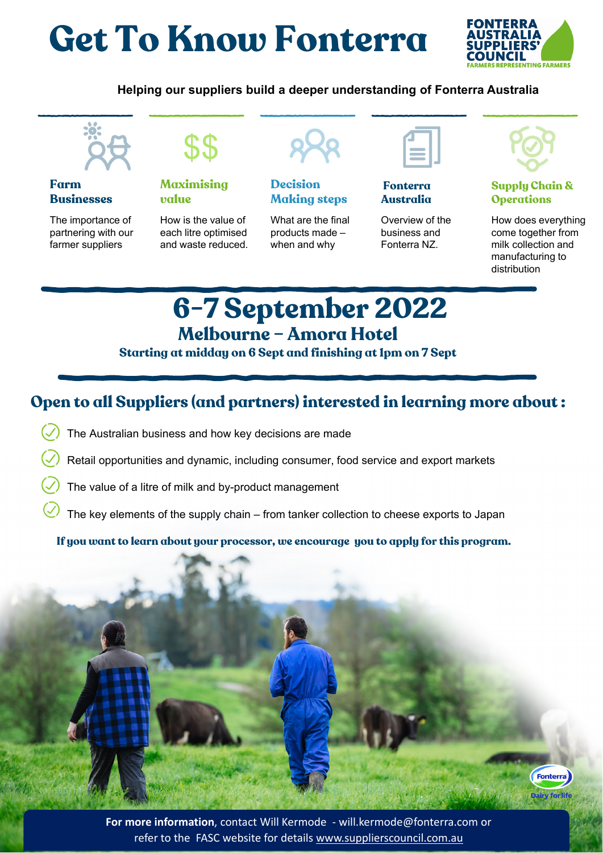# **Get To Know Fonterra**



#### **Helping our suppliers build a deeper understanding of Fonterra Australia**



#### **Farm Businesses**

The importance of partnering with our farmer suppliers



**Maximising value**

How is the value of each litre optimised and waste reduced.



**Decision Making steps**

What are the final products made – when and why



#### **Fonterra Australia**

Overview of the business and Fonterra NZ.



#### **Supply Chain & Operations**

How does everything come together from milk collection and manufacturing to distribution

> Fonterra Dairy for life

## **6-7 September 2022 Melbourne – Amora Hotel**

**Starting at midday on 6 Sept and finishing at 1pm on 7 Sept**

### **Open to all Suppliers (and partners) interested in learning more about :**

- The Australian business and how key decisions are made
- Retail opportunities and dynamic, including consumer, food service and export markets
- The value of a litre of milk and by-product management
- The key elements of the supply chain from tanker collection to cheese exports to Japan

**If you want to learn about your processor, we encourage you to apply for this program.**